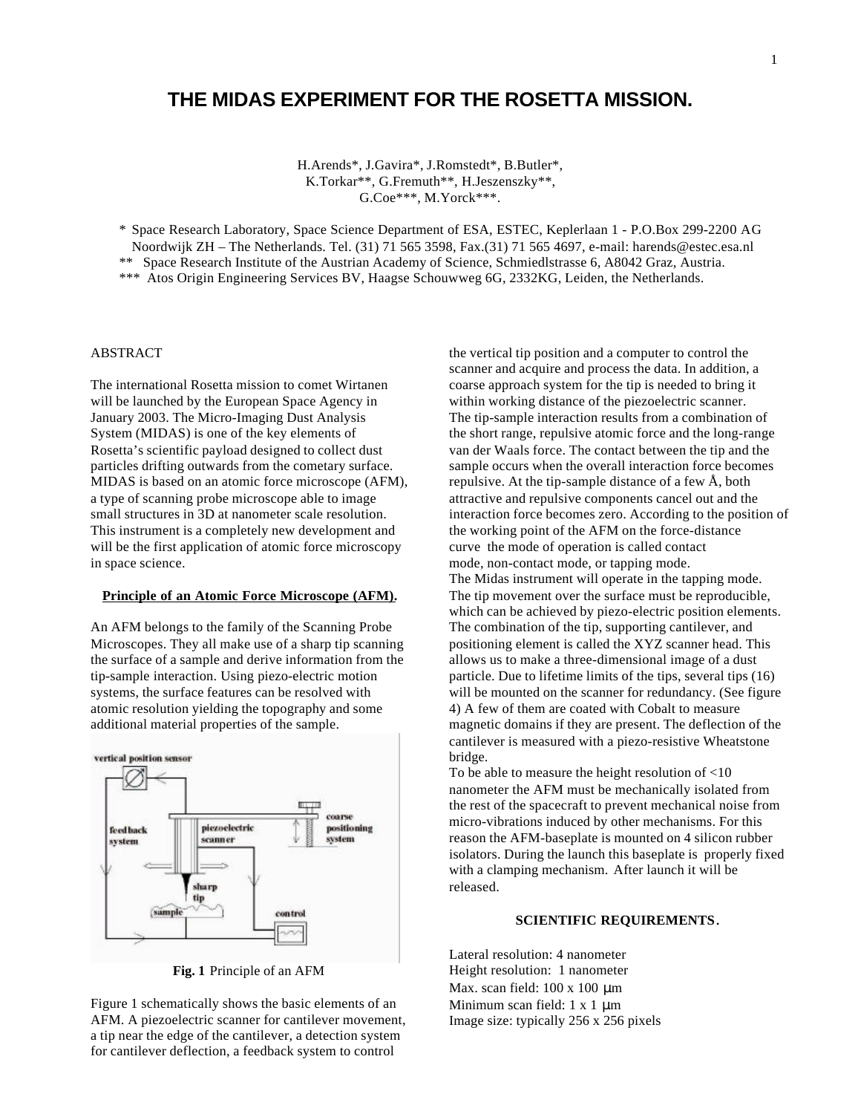# **THE MIDAS EXPERIMENT FOR THE ROSETTA MISSION.**

H.Arends\*, J.Gavira\*, J.Romstedt\*, B.Butler\*, K.Torkar\*\*, G.Fremuth\*\*, H.Jeszenszky\*\*, G.Coe\*\*\*, M.Yorck\*\*\*.

\* Space Research Laboratory, Space Science Department of ESA, ESTEC, Keplerlaan 1 - P.O.Box 299-2200 AG Noordwijk ZH – The Netherlands. Tel. (31) 71 565 3598, Fax.(31) 71 565 4697, e-mail: harends@estec.esa.nl \*\* Space Research Institute of the Austrian Academy of Science, Schmiedlstrasse 6, A8042 Graz, Austria. \*\*\* Atos Origin Engineering Services BV, Haagse Schouwweg 6G, 2332KG, Leiden, the Netherlands.

#### ABSTRACT

The international Rosetta mission to comet Wirtanen will be launched by the European Space Agency in January 2003. The Micro-Imaging Dust Analysis System (MIDAS) is one of the key elements of Rosetta's scientific payload designed to collect dust particles drifting outwards from the cometary surface. MIDAS is based on an atomic force microscope (AFM), a type of scanning probe microscope able to image small structures in 3D at nanometer scale resolution. This instrument is a completely new development and will be the first application of atomic force microscopy in space science.

#### **Principle of an Atomic Force Microscope (AFM).**

An AFM belongs to the family of the Scanning Probe Microscopes. They all make use of a sharp tip scanning the surface of a sample and derive information from the tip-sample interaction. Using piezo-electric motion systems, the surface features can be resolved with atomic resolution yielding the topography and some additional material properties of the sample.



**Fig. 1** Principle of an AFM

Figure 1 schematically shows the basic elements of an AFM. A piezoelectric scanner for cantilever movement, a tip near the edge of the cantilever, a detection system for cantilever deflection, a feedback system to control

the vertical tip position and a computer to control the scanner and acquire and process the data. In addition, a coarse approach system for the tip is needed to bring it within working distance of the piezoelectric scanner. The tip-sample interaction results from a combination of the short range, repulsive atomic force and the long-range van der Waals force. The contact between the tip and the sample occurs when the overall interaction force becomes repulsive. At the tip-sample distance of a few Å, both attractive and repulsive components cancel out and the interaction force becomes zero. According to the position of the working point of the AFM on the force-distance curve the mode of operation is called contact mode, non-contact mode, or tapping mode. The Midas instrument will operate in the tapping mode. The tip movement over the surface must be reproducible, which can be achieved by piezo-electric position elements. The combination of the tip, supporting cantilever, and positioning element is called the XYZ scanner head. This allows us to make a three-dimensional image of a dust particle. Due to lifetime limits of the tips, several tips (16) will be mounted on the scanner for redundancy. (See figure 4) A few of them are coated with Cobalt to measure magnetic domains if they are present. The deflection of the cantilever is measured with a piezo-resistive Wheatstone bridge.

To be able to measure the height resolution of <10 nanometer the AFM must be mechanically isolated from the rest of the spacecraft to prevent mechanical noise from micro-vibrations induced by other mechanisms. For this reason the AFM-baseplate is mounted on 4 silicon rubber isolators. During the launch this baseplate is properly fixed with a clamping mechanism. After launch it will be released.

#### **SCIENTIFIC REQUIREMENTS**.

Lateral resolution: 4 nanometer Height resolution: 1 nanometer Max. scan field: 100 x 100 μm Minimum scan field: 1 x 1 μm Image size: typically 256 x 256 pixels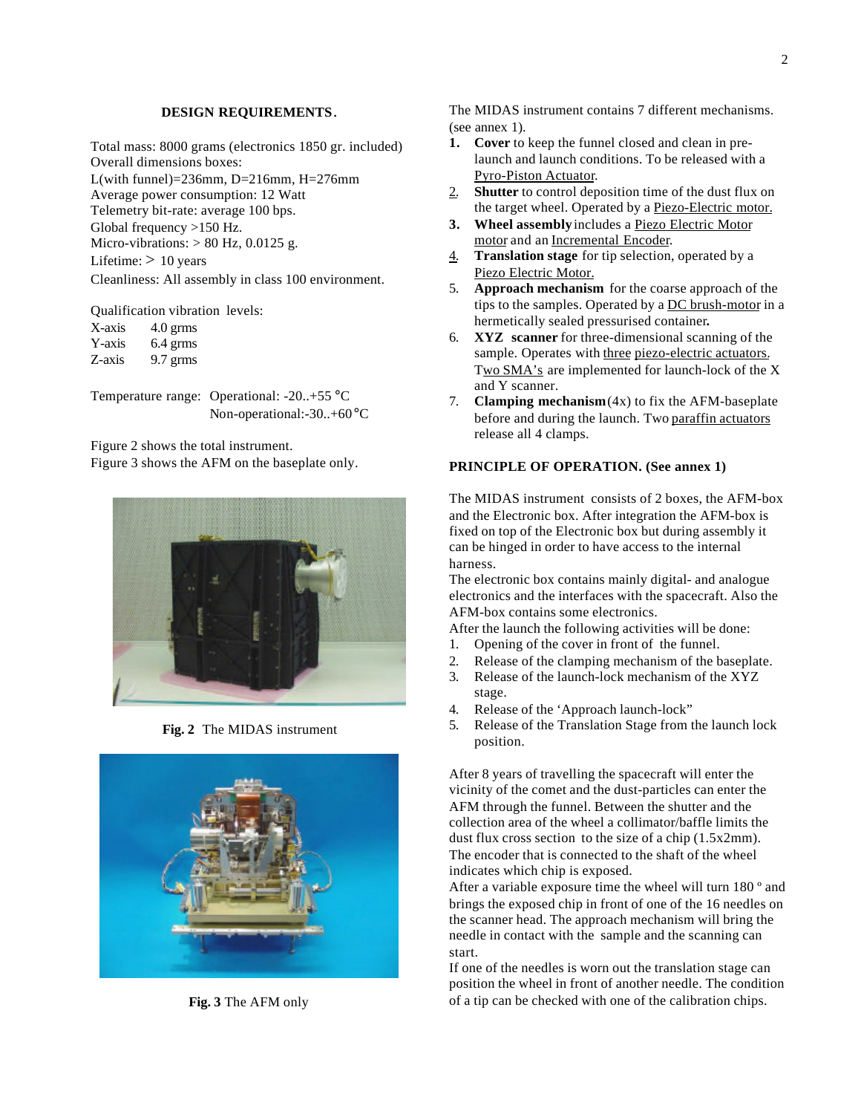#### **DESIGN REQUIREMENTS**.

Total mass: 8000 grams (electronics 1850 gr. included) Overall dimensions boxes:

L(with funnel)=236mm, D=216mm, H=276mm Average power consumption: 12 Watt Telemetry bit-rate: average 100 bps. Global frequency >150 Hz. Micro-vibrations:  $> 80$  Hz, 0.0125 g. Lifetime:  $> 10$  years Cleanliness: All assembly in class 100 environment.

Qualification vibration levels:

| X-axis | $4.0$ grms |
|--------|------------|
| Y-axis | 6.4 grms   |
| Z-axis | $9.7$ grms |

Temperature range: Operational: -20..+55 °C Non-operational:-30..+60°C

Figure 2 shows the total instrument.

Figure 3 shows the AFM on the baseplate only.



**Fig. 2** The MIDAS instrument



**Fig. 3** The AFM only

The MIDAS instrument contains 7 different mechanisms. (see annex 1).

- **1. Cover** to keep the funnel closed and clean in prelaunch and launch conditions. To be released with a Pyro-Piston Actuator.
- 2. **Shutter** to control deposition time of the dust flux on the target wheel. Operated by a Piezo-Electric motor.
- **3. Wheel assembly** includes a Piezo Electric Motor motor and an Incremental Encoder.
- 4. **Translation stage** for tip selection, operated by a Piezo Electric Motor.
- 5. **Approach mechanism** for the coarse approach of the tips to the samples. Operated by a DC brush-motor in a hermetically sealed pressurised container**.**
- 6. **XYZ scanner** for three-dimensional scanning of the sample. Operates with three piezo-electric actuators. Two SMA's are implemented for launch-lock of the X and Y scanner.
- 7. **Clamping mechanism** (4x) to fix the AFM-baseplate before and during the launch. Two paraffin actuators release all 4 clamps.

## **PRINCIPLE OF OPERATION. (See annex 1)**

The MIDAS instrument consists of 2 boxes, the AFM-box and the Electronic box. After integration the AFM-box is fixed on top of the Electronic box but during assembly it can be hinged in order to have access to the internal harness.

The electronic box contains mainly digital- and analogue electronics and the interfaces with the spacecraft. Also the AFM-box contains some electronics.

After the launch the following activities will be done:

- 1. Opening of the cover in front of the funnel.
- 2. Release of the clamping mechanism of the baseplate.
- 3. Release of the launch-lock mechanism of the XYZ stage.
- 4. Release of the 'Approach launch-lock"
- 5. Release of the Translation Stage from the launch lock position.

After 8 years of travelling the spacecraft will enter the vicinity of the comet and the dust-particles can enter the AFM through the funnel. Between the shutter and the collection area of the wheel a collimator/baffle limits the dust flux cross section to the size of a chip (1.5x2mm). The encoder that is connected to the shaft of the wheel indicates which chip is exposed.

After a variable exposure time the wheel will turn 180 º and brings the exposed chip in front of one of the 16 needles on the scanner head. The approach mechanism will bring the needle in contact with the sample and the scanning can start.

If one of the needles is worn out the translation stage can position the wheel in front of another needle. The condition of a tip can be checked with one of the calibration chips.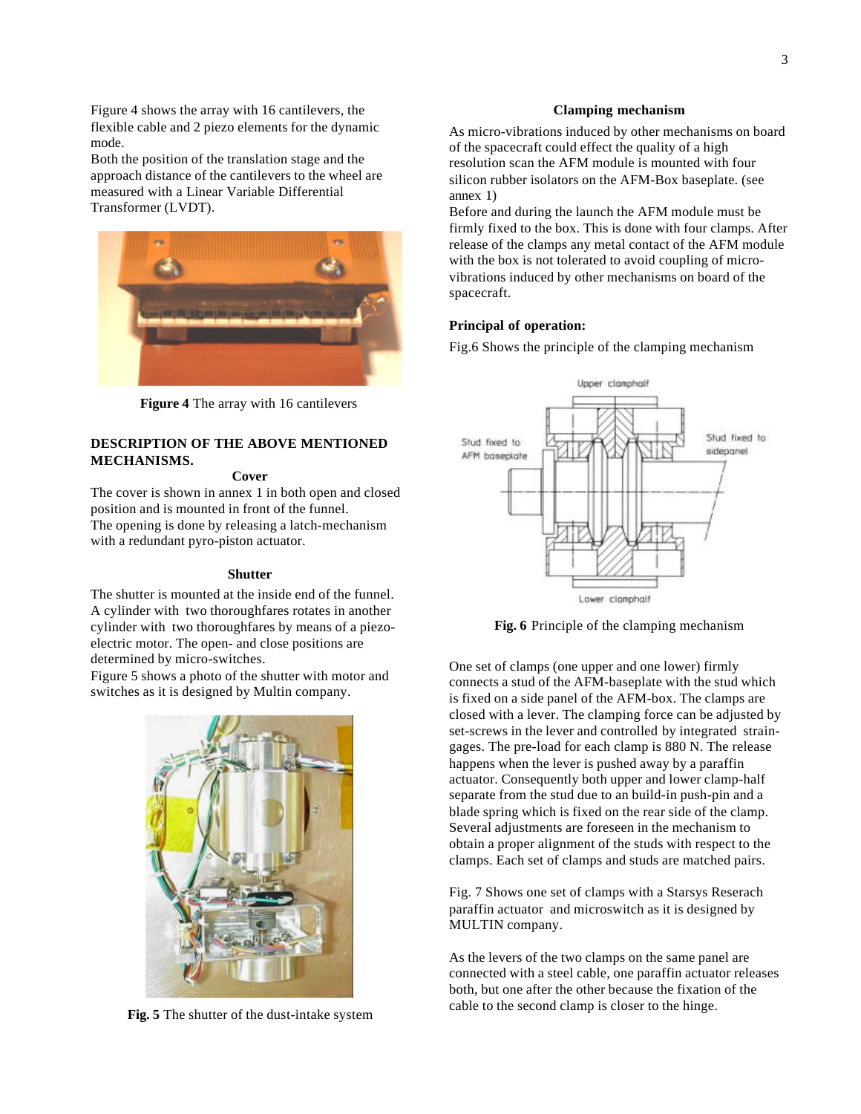Figure 4 shows the array with 16 cantilevers, the flexible cable and 2 piezo elements for the dynamic mode.

Both the position of the translation stage and the approach distance of the cantilevers to the wheel are measured with a Linear Variable Differential Transformer (LVDT).



**Figure 4** The array with 16 cantilevers

## **DESCRIPTION OF THE ABOVE MENTIONED MECHANISMS.**

#### **Cover**

The cover is shown in annex 1 in both open and closed position and is mounted in front of the funnel. The opening is done by releasing a latch-mechanism with a redundant pyro-piston actuator.

#### **Shutter**

The shutter is mounted at the inside end of the funnel. A cylinder with two thoroughfares rotates in another cylinder with two thoroughfares by means of a piezoelectric motor. The open- and close positions are determined by micro-switches.

Figure 5 shows a photo of the shutter with motor and switches as it is designed by Multin company.



**Fig. 5** The shutter of the dust-intake system

#### **Clamping mechanism**

As micro-vibrations induced by other mechanisms on board of the spacecraft could effect the quality of a high resolution scan the AFM module is mounted with four silicon rubber isolators on the AFM-Box baseplate. (see annex 1)

Before and during the launch the AFM module must be firmly fixed to the box. This is done with four clamps. After release of the clamps any metal contact of the AFM module with the box is not tolerated to avoid coupling of microvibrations induced by other mechanisms on board of the spacecraft.

#### **Principal of operation:**

Fig.6 Shows the principle of the clamping mechanism



**Fig. 6** Principle of the clamping mechanism

One set of clamps (one upper and one lower) firmly connects a stud of the AFM-baseplate with the stud which is fixed on a side panel of the AFM-box. The clamps are closed with a lever. The clamping force can be adjusted by set-screws in the lever and controlled by integrated straingages. The pre-load for each clamp is 880 N. The release happens when the lever is pushed away by a paraffin actuator. Consequently both upper and lower clamp-half separate from the stud due to an build-in push-pin and a blade spring which is fixed on the rear side of the clamp. Several adjustments are foreseen in the mechanism to obtain a proper alignment of the studs with respect to the clamps. Each set of clamps and studs are matched pairs.

Fig. 7 Shows one set of clamps with a Starsys Reserach paraffin actuator and microswitch as it is designed by MULTIN company.

As the levers of the two clamps on the same panel are connected with a steel cable, one paraffin actuator releases both, but one after the other because the fixation of the cable to the second clamp is closer to the hinge.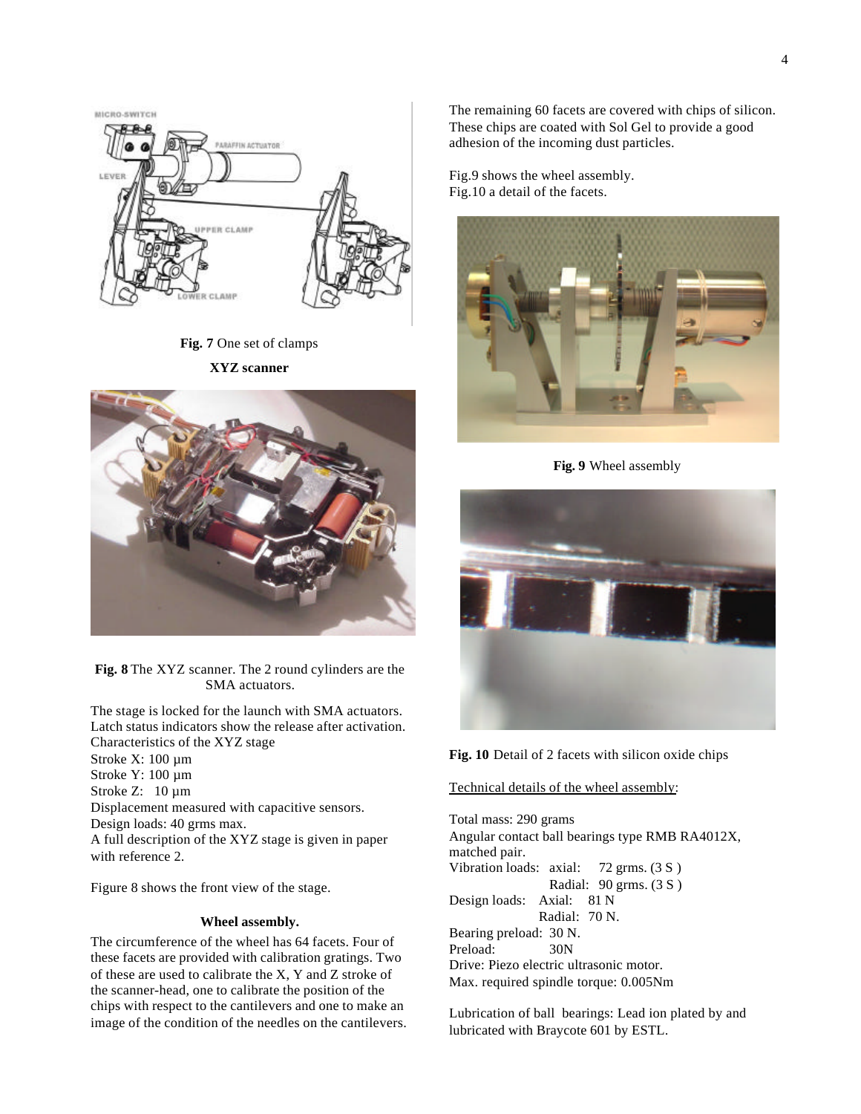

**Fig. 7** One set of clamps

**XYZ scanner**



**Fig. 8** The XYZ scanner. The 2 round cylinders are the SMA actuators.

The stage is locked for the launch with SMA actuators. Latch status indicators show the release after activation. Characteristics of the XYZ stage

Stroke X: 100 µm Stroke Y: 100 µm Stroke Z: 10  $\mu$ m Displacement measured with capacitive sensors. Design loads: 40 grms max. A full description of the XYZ stage is given in paper with reference 2.

Figure 8 shows the front view of the stage.

#### **Wheel assembly.**

The circumference of the wheel has 64 facets. Four of these facets are provided with calibration gratings. Two of these are used to calibrate the X, Y and Z stroke of the scanner-head, one to calibrate the position of the chips with respect to the cantilevers and one to make an image of the condition of the needles on the cantilevers. The remaining 60 facets are covered with chips of silicon. These chips are coated with Sol Gel to provide a good adhesion of the incoming dust particles.

Fig.9 shows the wheel assembly. Fig.10 a detail of the facets.



**Fig. 9** Wheel assembly



**Fig. 10** Detail of 2 facets with silicon oxide chips

#### Technical details of the wheel assembly:

Total mass: 290 grams Angular contact ball bearings type RMB RA4012X, matched pair. Vibration loads: axial: 72 grms. (3 S ) Radial: 90 grms. (3 S ) Design loads: Axial: 81 N Radial: 70 N. Bearing preload: 30 N. Preload: 30N Drive: Piezo electric ultrasonic motor. Max. required spindle torque: 0.005Nm

Lubrication of ball bearings: Lead ion plated by and lubricated with Braycote 601 by ESTL.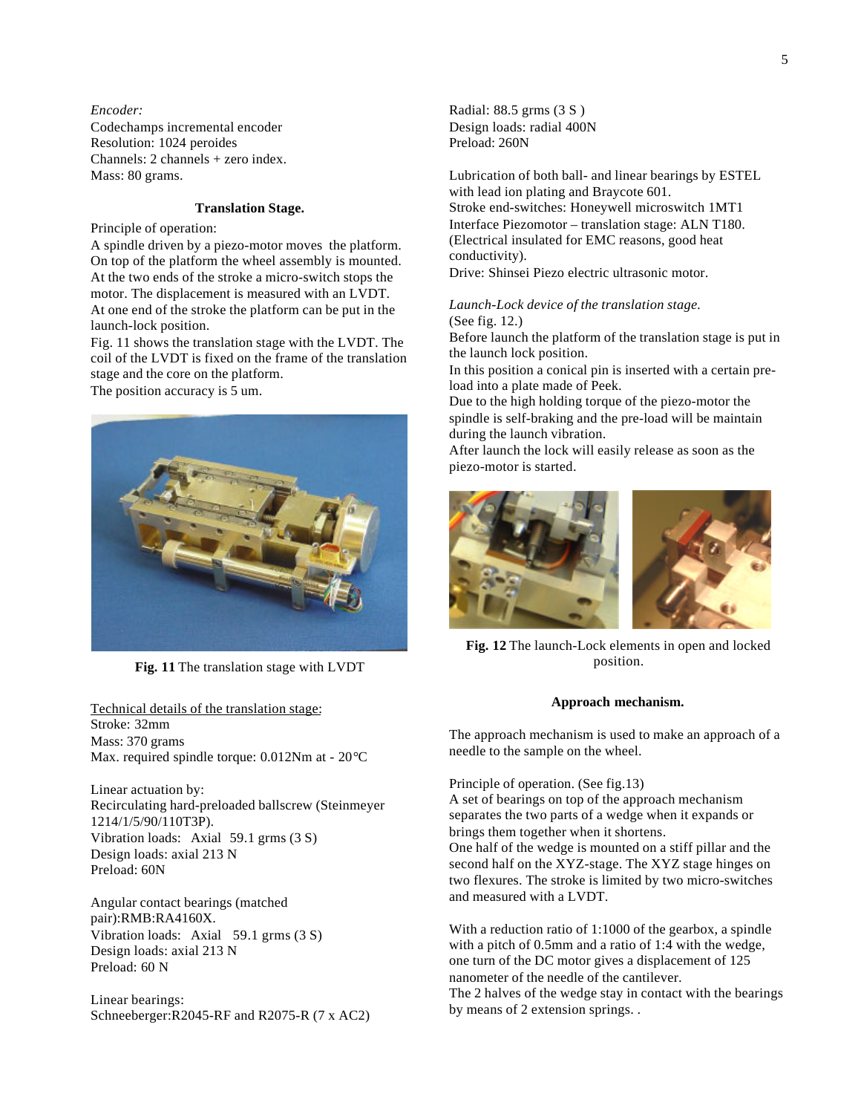#### *Encoder:*

Codechamps incremental encoder Resolution: 1024 peroides Channels: 2 channels + zero index. Mass: 80 grams.

## **Translation Stage.**

Principle of operation:

A spindle driven by a piezo-motor moves the platform. On top of the platform the wheel assembly is mounted. At the two ends of the stroke a micro-switch stops the motor. The displacement is measured with an LVDT. At one end of the stroke the platform can be put in the launch-lock position.

Fig. 11 shows the translation stage with the LVDT. The coil of the LVDT is fixed on the frame of the translation stage and the core on the platform.

The position accuracy is 5 um.



**Fig. 11** The translation stage with LVDT

Technical details of the translation stage: Stroke: 32mm Mass: 370 grams Max. required spindle torque: 0.012Nm at - 20°C

Linear actuation by: Recirculating hard-preloaded ballscrew (Steinmeyer 1214/1/5/90/110T3P). Vibration loads: Axial 59.1 grms (3 S) Design loads: axial 213 N Preload: 60N

Angular contact bearings (matched pair):RMB:RA4160X. Vibration loads: Axial 59.1 grms (3 S) Design loads: axial 213 N Preload: 60 N

Linear bearings: Schneeberger:R2045-RF and R2075-R (7 x AC2) Radial: 88.5 grms (3 S ) Design loads: radial 400N Preload: 260N

Lubrication of both ball- and linear bearings by ESTEL with lead ion plating and Braycote 601. Stroke end-switches: Honeywell microswitch 1MT1 Interface Piezomotor – translation stage: ALN T180. (Electrical insulated for EMC reasons, good heat conductivity).

Drive: Shinsei Piezo electric ultrasonic motor.

## *Launch-Lock device of the translation stage.*

(See fig. 12.)

Before launch the platform of the translation stage is put in the launch lock position.

In this position a conical pin is inserted with a certain preload into a plate made of Peek.

Due to the high holding torque of the piezo-motor the spindle is self-braking and the pre-load will be maintain during the launch vibration.

After launch the lock will easily release as soon as the piezo-motor is started.



**Fig. 12** The launch-Lock elements in open and locked position.

## **Approach mechanism.**

The approach mechanism is used to make an approach of a needle to the sample on the wheel.

Principle of operation. (See fig.13) A set of bearings on top of the approach mechanism separates the two parts of a wedge when it expands or brings them together when it shortens. One half of the wedge is mounted on a stiff pillar and the second half on the XYZ-stage. The XYZ stage hinges on two flexures. The stroke is limited by two micro-switches and measured with a LVDT.

With a reduction ratio of 1:1000 of the gearbox, a spindle with a pitch of 0.5mm and a ratio of 1:4 with the wedge, one turn of the DC motor gives a displacement of 125 nanometer of the needle of the cantilever. The 2 halves of the wedge stay in contact with the bearings by means of 2 extension springs. .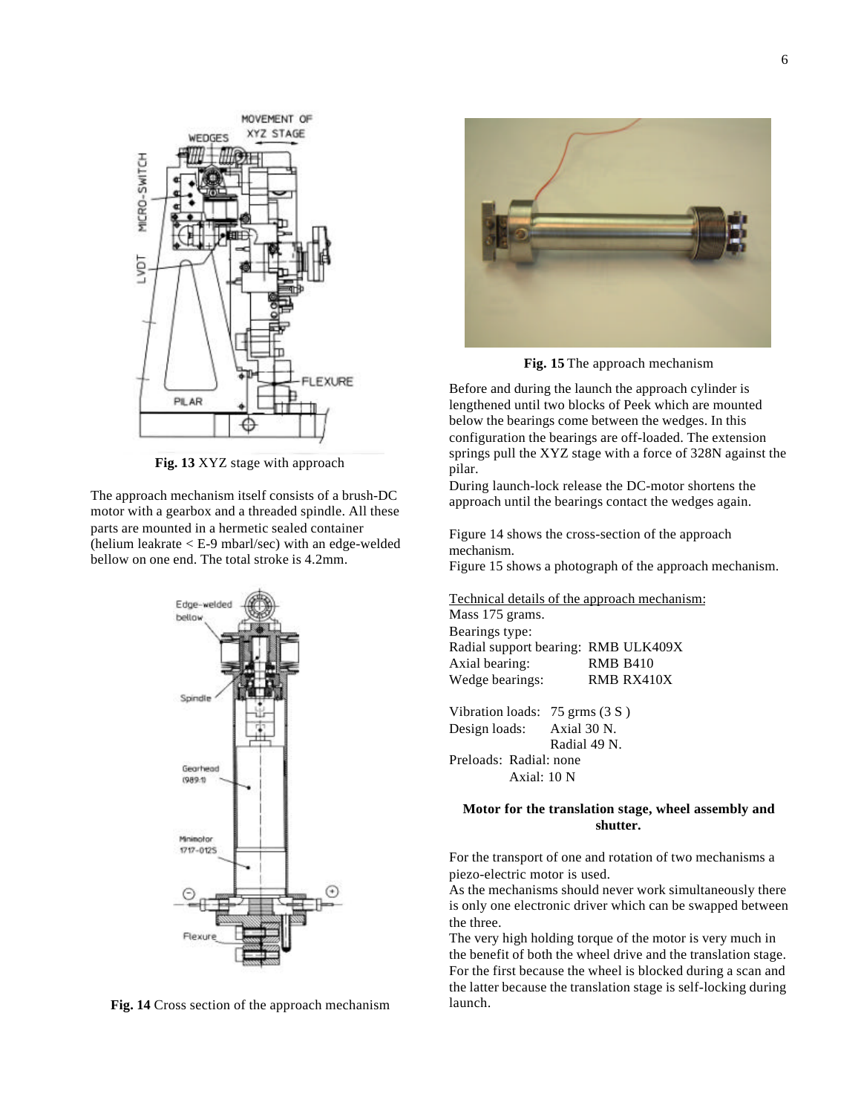

**Fig. 13** XYZ stage with approach

The approach mechanism itself consists of a brush-DC motor with a gearbox and a threaded spindle. All these parts are mounted in a hermetic sealed container (helium leakrate < E-9 mbarl/sec) with an edge-welded bellow on one end. The total stroke is 4.2mm.



**Fig. 14** Cross section of the approach mechanism



**Fig. 15** The approach mechanism

Before and during the launch the approach cylinder is lengthened until two blocks of Peek which are mounted below the bearings come between the wedges. In this configuration the bearings are off-loaded. The extension springs pull the XYZ stage with a force of 328N against the pilar.

During launch-lock release the DC-motor shortens the approach until the bearings contact the wedges again.

Figure 14 shows the cross-section of the approach mechanism.

Figure 15 shows a photograph of the approach mechanism.

Technical details of the approach mechanism:

Mass 175 grams. Bearings type: Radial support bearing: RMB ULK409X Axial bearing: RMB B410 Wedge bearings: RMB RX410X

Vibration loads: 75 grms (3 S ) Design loads: Axial 30 N. Radial 49 N. Preloads: Radial: none Axial: 10 N

## **Motor for the translation stage, wheel assembly and shutter.**

For the transport of one and rotation of two mechanisms a piezo-electric motor is used.

As the mechanisms should never work simultaneously there is only one electronic driver which can be swapped between the three.

The very high holding torque of the motor is very much in the benefit of both the wheel drive and the translation stage. For the first because the wheel is blocked during a scan and the latter because the translation stage is self-locking during launch.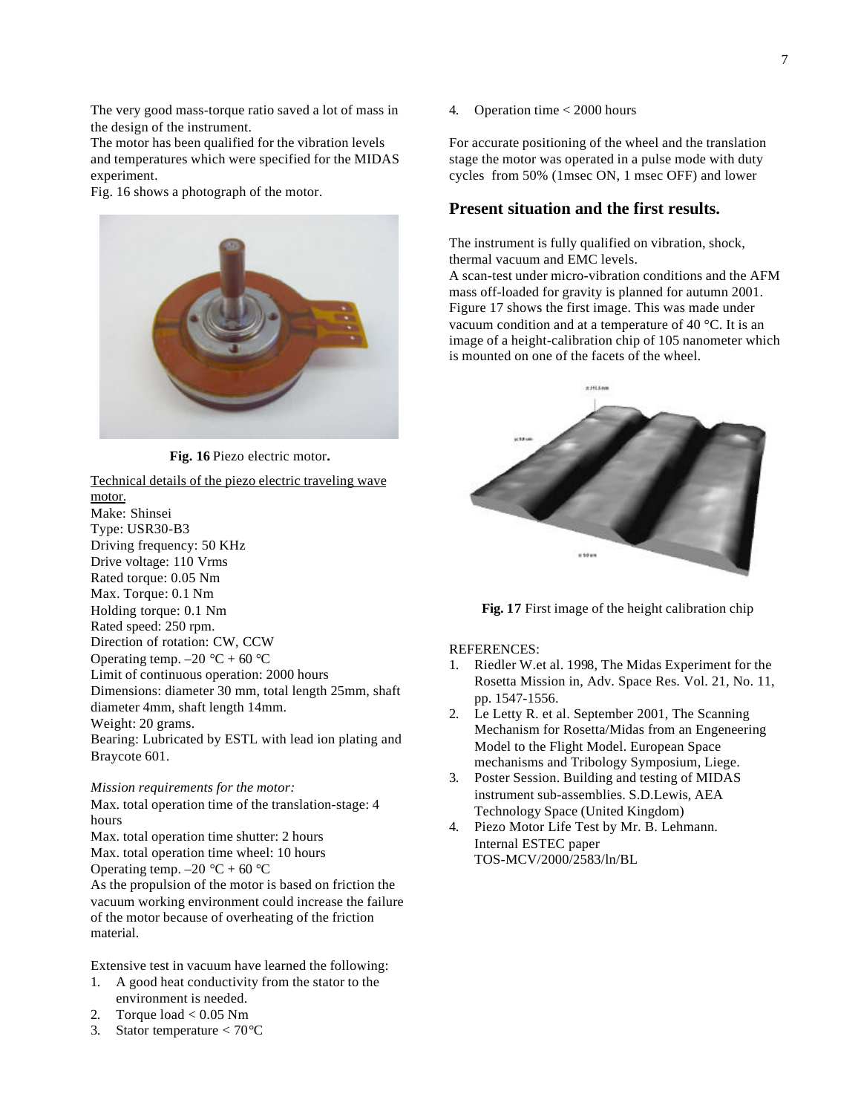The very good mass-torque ratio saved a lot of mass in the design of the instrument.

The motor has been qualified for the vibration levels and temperatures which were specified for the MIDAS experiment.

Fig. 16 shows a photograph of the motor.



**Fig. 16** Piezo electric motor**.**

Technical details of the piezo electric traveling wave motor. Make: Shinsei Type: USR30-B3 Driving frequency: 50 KHz Drive voltage: 110 Vrms Rated torque: 0.05 Nm Max. Torque: 0.1 Nm Holding torque: 0.1 Nm Rated speed: 250 rpm. Direction of rotation: CW, CCW Operating temp.  $-20$  °C + 60 °C Limit of continuous operation: 2000 hours Dimensions: diameter 30 mm, total length 25mm, shaft diameter 4mm, shaft length 14mm. Weight: 20 grams. Bearing: Lubricated by ESTL with lead ion plating and Braycote 601.

#### *Mission requirements for the motor:*

Max. total operation time of the translation-stage: 4 hours Max. total operation time shutter: 2 hours Max. total operation time wheel: 10 hours Operating temp.  $-20$  °C + 60 °C As the propulsion of the motor is based on friction the vacuum working environment could increase the failure of the motor because of overheating of the friction

Extensive test in vacuum have learned the following:

- 1. A good heat conductivity from the stator to the environment is needed.
- 2. Torque  $load < 0.05$  Nm

material.

3. Stator temperature  $< 70^{\circ}$ C

4. Operation time < 2000 hours

For accurate positioning of the wheel and the translation stage the motor was operated in a pulse mode with duty cycles from 50% (1msec ON, 1 msec OFF) and lower

## **Present situation and the first results.**

The instrument is fully qualified on vibration, shock, thermal vacuum and EMC levels.

A scan-test under micro-vibration conditions and the AFM mass off-loaded for gravity is planned for autumn 2001. Figure 17 shows the first image. This was made under vacuum condition and at a temperature of 40 °C. It is an image of a height-calibration chip of 105 nanometer which is mounted on one of the facets of the wheel.



**Fig. 17** First image of the height calibration chip

#### REFERENCES:

- 1. Riedler W.et al. 1998, The Midas Experiment for the Rosetta Mission in, Adv. Space Res. Vol. 21, No. 11, pp. 1547-1556.
- 2. Le Letty R. et al. September 2001, The Scanning Mechanism for Rosetta/Midas from an Engeneering Model to the Flight Model. European Space mechanisms and Tribology Symposium, Liege.
- 3. Poster Session. Building and testing of MIDAS instrument sub-assemblies. S.D.Lewis, AEA Technology Space (United Kingdom)
- 4. Piezo Motor Life Test by Mr. B. Lehmann. Internal ESTEC paper TOS-MCV/2000/2583/ln/BL